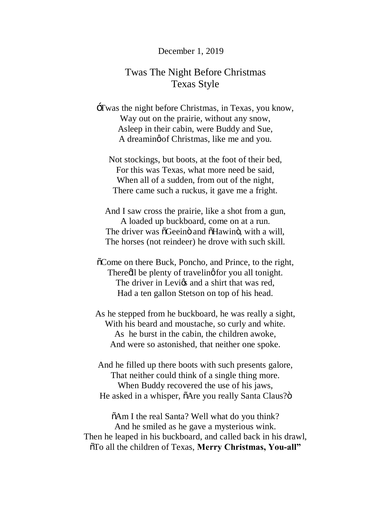#### December 1, 2019

# Twas The Night Before Christmas Texas Style

'Twas the night before Christmas, in Texas, you know, Way out on the prairie, without any snow, Asleep in their cabin, were Buddy and Sue, A dreaming of Christmas, like me and you.

Not stockings, but boots, at the foot of their bed, For this was Texas, what more need be said, When all of a sudden, from out of the night, There came such a ruckus, it gave me a fright.

And I saw cross the prairie, like a shot from a gun, A loaded up buckboard, come on at a run. The driver was  $\tilde{o}$ Geeinö and  $\tilde{o}$ Hawinö, with a will, The horses (not reindeer) he drove with such skill.

 $\delta$ Come on there Buck, Poncho, and Prince, to the right, There all be plenty of traveling for you all tonight. The driver in Levics and a shirt that was red. Had a ten gallon Stetson on top of his head.

As he stepped from he buckboard, he was really a sight, With his beard and moustache, so curly and white. As he burst in the cabin, the children awoke, And were so astonished, that neither one spoke.

And he filled up there boots with such presents galore, That neither could think of a single thing more. When Buddy recovered the use of his jaws, He asked in a whisper,  $\delta$ Are you really Santa Claus? $\ddot{\text{o}}$ 

 $\delta A$ m I the real Santa? Well what do you think? And he smiled as he gave a mysterious wink. Then he leaped in his buckboard, and called back in his drawl, "To all the children of Texas, **Merry Christmas, You-all"**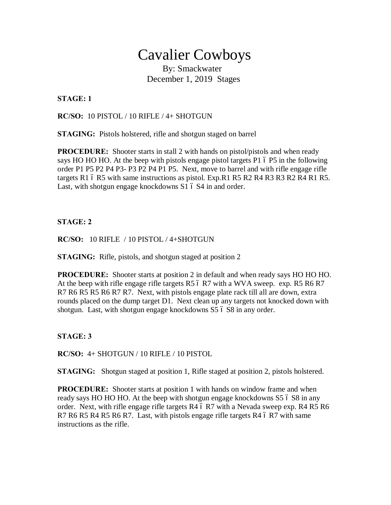# Cavalier Cowboys<br>By: Smackwater

December 1, 2019 Stages

## **STAGE: 1**

**RC/SO:** 10 PISTOL / 10 RIFLE / 4+ SHOTGUN

**STAGING:** Pistols holstered, rifle and shotgun staged on barrel

**PROCEDURE:** Shooter starts in stall 2 with hands on pistol/pistols and when ready says HO HO HO. At the beep with pistols engage pistol targets  $P1$  ó  $P5$  in the following order P1 P5 P2 P4 P3- P3 P2 P4 P1 P5. Next, move to barrel and with rifle engage rifle targets R1  $6$  R5 with same instructions as pistol. Exp.R1 R5 R2 R4 R3 R3 R2 R4 R1 R5. Last, with shotgun engage knockdowns  $S1$   $\acute{o}$  S4 in and order.

# **STAGE: 2**

#### **RC/SO:** 10 RIFLE / 10 PISTOL / 4+SHOTGUN

**STAGING:** Rifle, pistols, and shotgun staged at position 2

**PROCEDURE:** Shooter starts at position 2 in default and when ready says HO HO HO. At the beep with rifle engage rifle targets R5  $6$  R7 with a WVA sweep. exp. R5 R6 R7 R7 R6 R5 R5 R6 R7 R7. Next, with pistols engage plate rack till all are down, extra rounds placed on the dump target D1. Next clean up any targets not knocked down with shotgun. Last, with shotgun engage knockdowns S5  $\dot{\rm o}$  S8 in any order.

**STAGE: 3**

**RC/SO:** 4+ SHOTGUN / 10 RIFLE / 10 PISTOL

**STAGING:** Shotgun staged at position 1, Rifle staged at position 2, pistols holstered.

**PROCEDURE:** Shooter starts at position 1 with hands on window frame and when ready says HO HO HO. At the beep with shotgun engage knockdowns S5 6 S8 in any order. Next, with rifle engage rifle targets  $R4$  6 R7 with a Nevada sweep exp.  $R4$  R5 R6 R7 R6 R5 R4 R5 R6 R7. Last, with pistols engage rifle targets R4  $6$  R7 with same instructions as the rifle.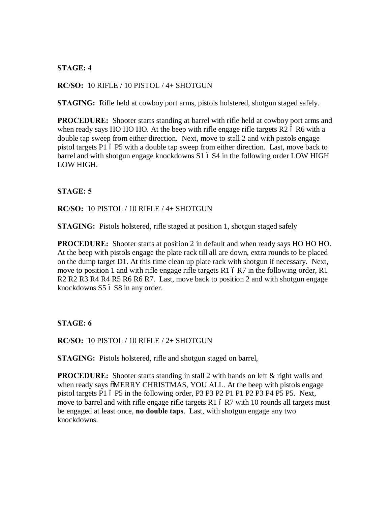## **STAGE: 4**

#### **RC/SO:** 10 RIFLE / 10 PISTOL / 4+ SHOTGUN

**STAGING:** Rifle held at cowboy port arms, pistols holstered, shotgun staged safely.

**PROCEDURE:** Shooter starts standing at barrel with rifle held at cowboy port arms and when ready says HO HO HO. At the beep with rifle engage rifle targets  $R2$  6 R6 with a double tap sweep from either direction. Next, move to stall 2 and with pistols engage pistol targets P1 6 P5 with a double tap sweep from either direction. Last, move back to barrel and with shotgun engage knockdowns S1 6 S4 in the following order LOW HIGH LOW HIGH.

#### **STAGE: 5**

**RC/SO:** 10 PISTOL / 10 RIFLE / 4+ SHOTGUN

**STAGING:** Pistols holstered, rifle staged at position 1, shotgun staged safely

**PROCEDURE:** Shooter starts at position 2 in default and when ready says HO HO HO. At the beep with pistols engage the plate rack till all are down, extra rounds to be placed on the dump target D1. At this time clean up plate rack with shotgun if necessary. Next, move to position 1 and with rifle engage rifle targets R1  $6$  R7 in the following order, R1 R2 R2 R3 R4 R4 R5 R6 R6 R7. Last, move back to position 2 and with shotgun engage knockdowns S5 6 S8 in any order.

**STAGE: 6**

**RC/SO:** 10 PISTOL / 10 RIFLE / 2+ SHOTGUN

**STAGING:** Pistols holstered, rifle and shotgun staged on barrel,

**PROCEDURE:** Shooter starts standing in stall 2 with hands on left & right walls and when ready says  $\ddot{\text{o}}$ MERRY CHRISTMAS, YOU ALL. At the beep with pistols engage pistol targets P1 6 P5 in the following order, P3 P3 P2 P1 P1 P2 P3 P4 P5 P5. Next, move to barrel and with rifle engage rifle targets  $R1$  6  $R7$  with 10 rounds all targets must be engaged at least once, **no double taps**. Last, with shotgun engage any two knockdowns.